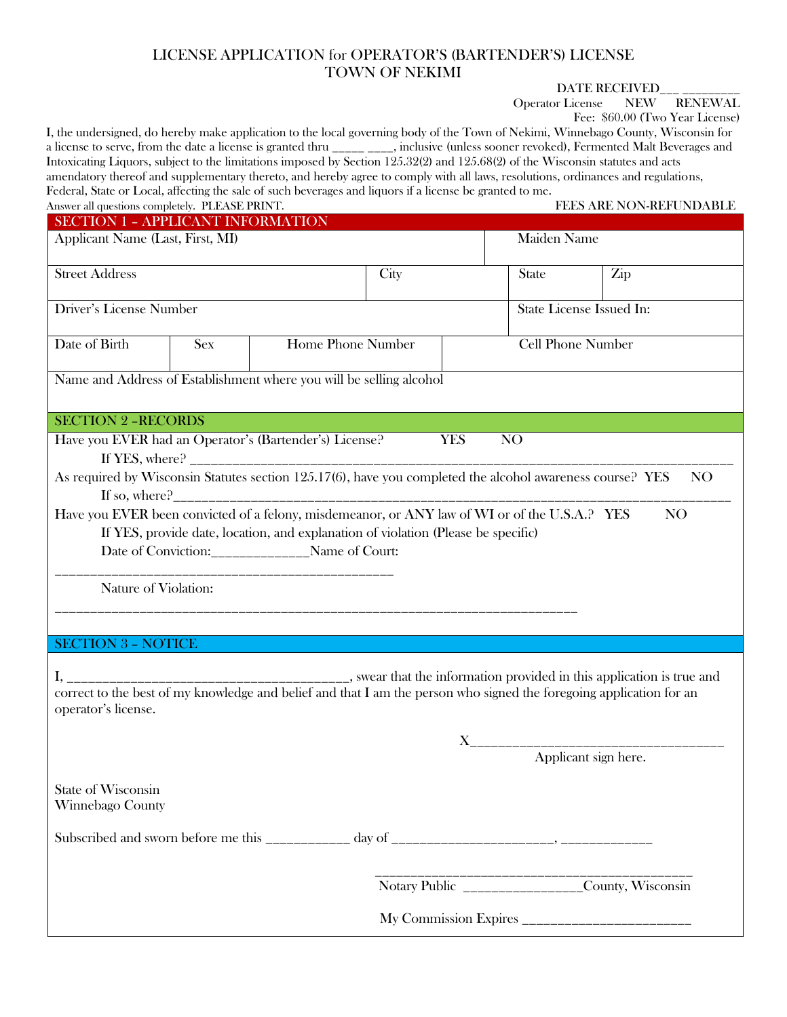## LICENSE APPLICATION for OPERATOR'S (BARTENDER'S) LICENSE TOWN OF NEKIMI

DATE RECEIVED\_\_\_ \_\_\_\_\_\_\_\_\_

Operator License NEW RENEWAL

Fee: \$60.00 (Two Year License)

| I, the undersigned, do hereby make application to the local governing body of the Town of Nekimi, Winnebago County, Wisconsin for<br>a license to serve, from the date a license is granted thru _____ ____, inclusive (unless sooner revoked), Fermented Malt Beverages and<br>Intoxicating Liquors, subject to the limitations imposed by Section 125.32(2) and 125.68(2) of the Wisconsin statutes and acts<br>amendatory thereof and supplementary thereto, and hereby agree to comply with all laws, resolutions, ordinances and regulations,<br>Federal, State or Local, affecting the sale of such beverages and liquors if a license be granted to me.<br>Answer all questions completely. PLEASE PRINT. |                                 |  |                          |  |                          | FEES ARE NON-REFUNDABLE                            |  |
|------------------------------------------------------------------------------------------------------------------------------------------------------------------------------------------------------------------------------------------------------------------------------------------------------------------------------------------------------------------------------------------------------------------------------------------------------------------------------------------------------------------------------------------------------------------------------------------------------------------------------------------------------------------------------------------------------------------|---------------------------------|--|--------------------------|--|--------------------------|----------------------------------------------------|--|
| <b>SECTION 1 - APPLICANT INFORMATION</b>                                                                                                                                                                                                                                                                                                                                                                                                                                                                                                                                                                                                                                                                         |                                 |  |                          |  |                          |                                                    |  |
| Applicant Name (Last, First, MI)                                                                                                                                                                                                                                                                                                                                                                                                                                                                                                                                                                                                                                                                                 |                                 |  |                          |  | Maiden Name              |                                                    |  |
| <b>Street Address</b>                                                                                                                                                                                                                                                                                                                                                                                                                                                                                                                                                                                                                                                                                            |                                 |  | City                     |  | <b>State</b>             | Zip                                                |  |
| <b>Driver's License Number</b>                                                                                                                                                                                                                                                                                                                                                                                                                                                                                                                                                                                                                                                                                   |                                 |  | State License Issued In: |  |                          |                                                    |  |
| Date of Birth                                                                                                                                                                                                                                                                                                                                                                                                                                                                                                                                                                                                                                                                                                    | Home Phone Number<br><b>Sex</b> |  |                          |  | <b>Cell Phone Number</b> |                                                    |  |
| Name and Address of Establishment where you will be selling alcohol                                                                                                                                                                                                                                                                                                                                                                                                                                                                                                                                                                                                                                              |                                 |  |                          |  |                          |                                                    |  |
| <b>SECTION 2 -RECORDS</b>                                                                                                                                                                                                                                                                                                                                                                                                                                                                                                                                                                                                                                                                                        |                                 |  |                          |  |                          |                                                    |  |
| Have you EVER had an Operator's (Bartender's) License?<br><b>YES</b><br>NO                                                                                                                                                                                                                                                                                                                                                                                                                                                                                                                                                                                                                                       |                                 |  |                          |  |                          |                                                    |  |
| As required by Wisconsin Statutes section 125.17(6), have you completed the alcohol awareness course? YES<br>NO                                                                                                                                                                                                                                                                                                                                                                                                                                                                                                                                                                                                  |                                 |  |                          |  |                          |                                                    |  |
| Have you EVER been convicted of a felony, misdemeanor, or ANY law of WI or of the U.S.A.? YES<br>If YES, provide date, location, and explanation of violation (Please be specific)<br>Date of Conviction:______________Name of Court:<br>Nature of Violation:                                                                                                                                                                                                                                                                                                                                                                                                                                                    |                                 |  |                          |  |                          | N <sub>O</sub>                                     |  |
| <b>SECTION 3 - NOTICE</b>                                                                                                                                                                                                                                                                                                                                                                                                                                                                                                                                                                                                                                                                                        |                                 |  |                          |  |                          |                                                    |  |
| operator's license.                                                                                                                                                                                                                                                                                                                                                                                                                                                                                                                                                                                                                                                                                              |                                 |  |                          |  |                          |                                                    |  |
|                                                                                                                                                                                                                                                                                                                                                                                                                                                                                                                                                                                                                                                                                                                  |                                 |  |                          |  |                          | Applicant sign here.                               |  |
| State of Wisconsin<br>Winnebago County                                                                                                                                                                                                                                                                                                                                                                                                                                                                                                                                                                                                                                                                           |                                 |  |                          |  |                          |                                                    |  |
|                                                                                                                                                                                                                                                                                                                                                                                                                                                                                                                                                                                                                                                                                                                  |                                 |  |                          |  |                          |                                                    |  |
|                                                                                                                                                                                                                                                                                                                                                                                                                                                                                                                                                                                                                                                                                                                  |                                 |  |                          |  |                          | Notary Public ___________________County, Wisconsin |  |
|                                                                                                                                                                                                                                                                                                                                                                                                                                                                                                                                                                                                                                                                                                                  |                                 |  |                          |  |                          |                                                    |  |